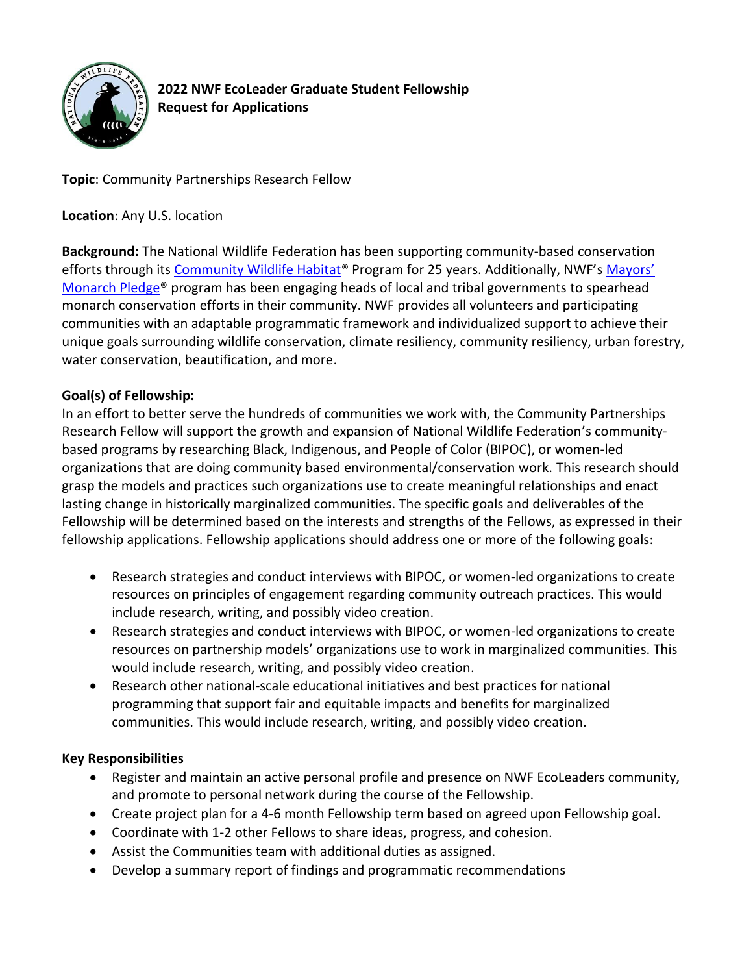

**2022 NWF EcoLeader Graduate Student Fellowship Request for Applications**

**Topic**: Community Partnerships Research Fellow

**Location**: Any U.S. location

**Background:** The National Wildlife Federation has been supporting community-based conservation efforts through its [Community Wildlife Habitat](https://www.nwf.org/communitywildlifehabitat)® Program for 25 years. Additionally, NWF's [Mayors'](https://www.nwf.org/mayorsmonarchpledge)  [Monarch Pledge®](https://www.nwf.org/mayorsmonarchpledge) program has been engaging heads of local and tribal governments to spearhead monarch conservation efforts in their community. NWF provides all volunteers and participating communities with an adaptable programmatic framework and individualized support to achieve their unique goals surrounding wildlife conservation, climate resiliency, community resiliency, urban forestry, water conservation, beautification, and more.

# **Goal(s) of Fellowship:**

In an effort to better serve the hundreds of communities we work with, the Community Partnerships Research Fellow will support the growth and expansion of National Wildlife Federation's communitybased programs by researching Black, Indigenous, and People of Color (BIPOC), or women-led organizations that are doing community based environmental/conservation work. This research should grasp the models and practices such organizations use to create meaningful relationships and enact lasting change in historically marginalized communities. The specific goals and deliverables of the Fellowship will be determined based on the interests and strengths of the Fellows, as expressed in their fellowship applications. Fellowship applications should address one or more of the following goals:

- Research strategies and conduct interviews with BIPOC, or women-led organizations to create resources on principles of engagement regarding community outreach practices. This would include research, writing, and possibly video creation.
- Research strategies and conduct interviews with BIPOC, or women-led organizations to create resources on partnership models' organizations use to work in marginalized communities. This would include research, writing, and possibly video creation.
- Research other national-scale educational initiatives and best practices for national programming that support fair and equitable impacts and benefits for marginalized communities. This would include research, writing, and possibly video creation.

## **Key Responsibilities**

- Register and maintain an active personal profile and presence on NWF EcoLeaders community, and promote to personal network during the course of the Fellowship.
- Create project plan for a 4-6 month Fellowship term based on agreed upon Fellowship goal.
- Coordinate with 1-2 other Fellows to share ideas, progress, and cohesion.
- Assist the Communities team with additional duties as assigned.
- Develop a summary report of findings and programmatic recommendations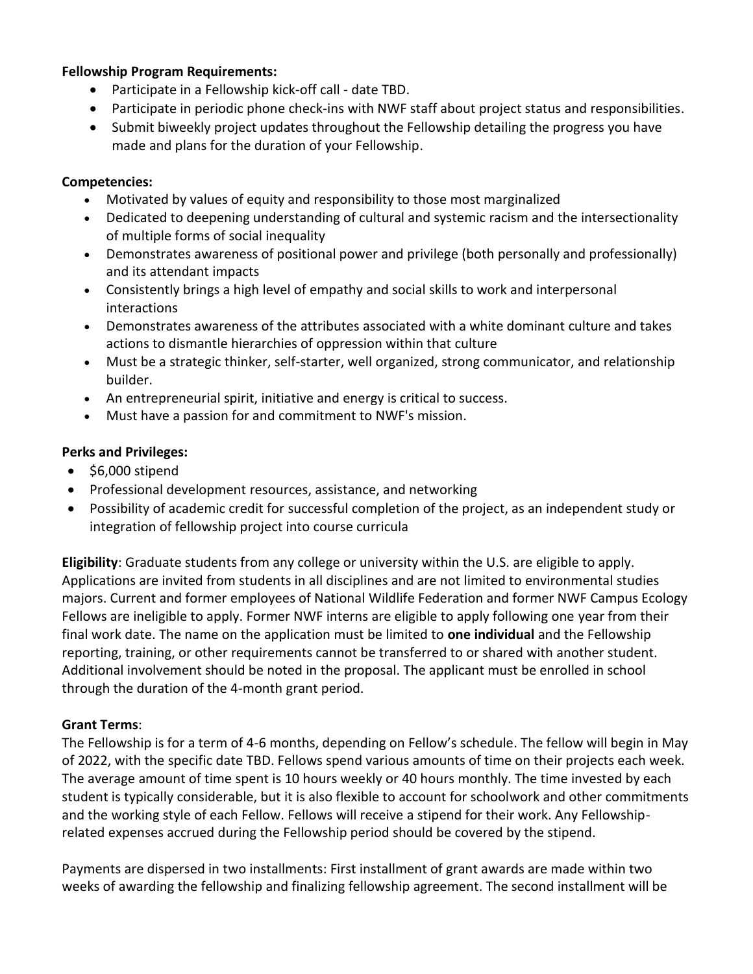#### **Fellowship Program Requirements:**

- Participate in a Fellowship kick-off call date TBD.
- Participate in periodic phone check-ins with NWF staff about project status and responsibilities.
- Submit biweekly project updates throughout the Fellowship detailing the progress you have made and plans for the duration of your Fellowship.

### **Competencies:**

- Motivated by values of equity and responsibility to those most marginalized
- Dedicated to deepening understanding of cultural and systemic racism and the intersectionality of multiple forms of social inequality
- Demonstrates awareness of positional power and privilege (both personally and professionally) and its attendant impacts
- Consistently brings a high level of empathy and social skills to work and interpersonal interactions
- Demonstrates awareness of the attributes associated with a white dominant culture and takes actions to dismantle hierarchies of oppression within that culture
- Must be a strategic thinker, self-starter, well organized, strong communicator, and relationship builder.
- An entrepreneurial spirit, initiative and energy is critical to success.
- Must have a passion for and commitment to NWF's mission.

#### **Perks and Privileges:**

- \$6,000 stipend
- Professional development resources, assistance, and networking
- Possibility of academic credit for successful completion of the project, as an independent study or integration of fellowship project into course curricula

**Eligibility**: Graduate students from any college or university within the U.S. are eligible to apply. Applications are invited from students in all disciplines and are not limited to environmental studies majors. Current and former employees of National Wildlife Federation and former NWF Campus Ecology Fellows are ineligible to apply. Former NWF interns are eligible to apply following one year from their final work date. The name on the application must be limited to **one individual** and the Fellowship reporting, training, or other requirements cannot be transferred to or shared with another student. Additional involvement should be noted in the proposal. The applicant must be enrolled in school through the duration of the 4-month grant period.

#### **Grant Terms**:

The Fellowship is for a term of 4-6 months, depending on Fellow's schedule. The fellow will begin in May of 2022, with the specific date TBD. Fellows spend various amounts of time on their projects each week. The average amount of time spent is 10 hours weekly or 40 hours monthly. The time invested by each student is typically considerable, but it is also flexible to account for schoolwork and other commitments and the working style of each Fellow. Fellows will receive a stipend for their work. Any Fellowshiprelated expenses accrued during the Fellowship period should be covered by the stipend.

Payments are dispersed in two installments: First installment of grant awards are made within two weeks of awarding the fellowship and finalizing fellowship agreement. The second installment will be